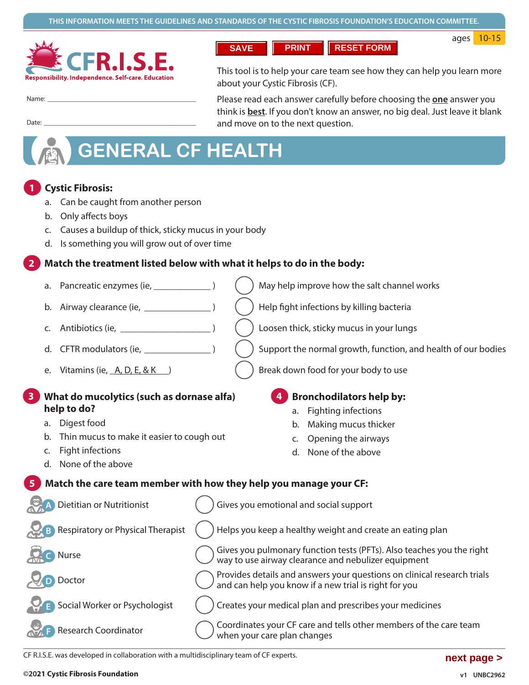

**RESET FORM PRINT SAVE** 

ages 10-15

Name:

Date:

This tool is to help your care team see how they can help you learn more about your Cystic Fibrosis (CF).

Please read each answer carefully before choosing the one answer you think is **best**. If you don't know an answer, no big deal. Just leave it blank and move on to the next question.

# **GENERAL CF HEALTH**

## **Cystic Fibrosis:**

- a. Can be caught from another person
- b. Only affects boys
- c. Causes a buildup of thick, sticky mucus in your body
- d. Is something you will grow out of over time

## Match the treatment listed below with what it helps to do in the body:

- Pancreatic enzymes (ie, 1996) a.
- b.
- C.
- d.
- e. Vitamins (ie,  $A, D, E, & K$ )

## What do mucolytics (such as dornase alfa) help to do?

- a. Digest food
- b. Thin mucus to make it easier to cough out
- c. Fight infections
- d. None of the above
- May help improve how the salt channel works
- Help fight infections by killing bacteria
- Loosen thick, sticky mucus in your lungs
- Support the normal growth, function, and health of our bodies
- Break down food for your body to use

## **Bronchodilators help by:**

- a. Fighting infections
- b. Making mucus thicker
- c. Opening the airways
- d. None of the above

## Match the care team member with how they help you manage your CF:

| <b>Dietitian or Nutritionist</b>           | Gives you emotional and social support                                                                                          |
|--------------------------------------------|---------------------------------------------------------------------------------------------------------------------------------|
| Respiratory or Physical Therapist<br>$Q$ B | Helps you keep a healthy weight and create an eating plan                                                                       |
| 只日<br>Nurse                                | Gives you pulmonary function tests (PFTs). Also teaches you the right way to use airway clearance and nebulizer equipment       |
| Doctor<br>$\sqrt{D}$                       | ) Provides details and answers your questions on clinical research trials and can help you know if a new trial is right for you |
| Social Worker or Psychologist              | Creates your medical plan and prescribes your medicines                                                                         |
| Research Coordinator                       | Coordinates your CF care and tells other members of the care team<br>when your care plan changes                                |

CF R.I.S.E. was developed in collaboration with a multidisciplinary team of CF experts.

### ©2021 Cystic Fibrosis Foundation